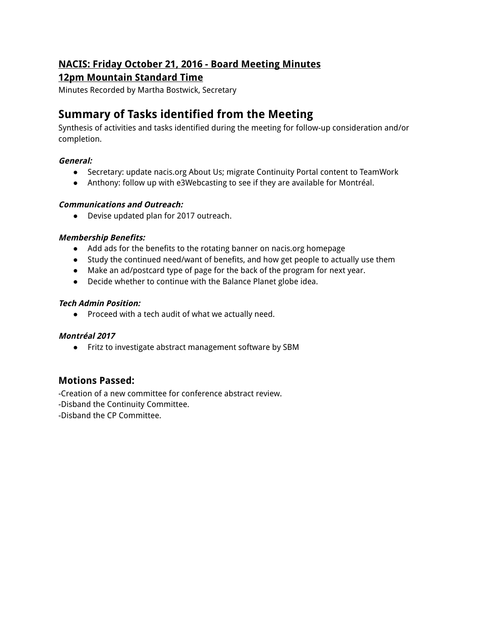## **NACIS: Friday October 21, 2016 - Board Meeting Minutes**

## **12pm Mountain Standard Time**

Minutes Recorded by Martha Bostwick, Secretary

# **Summary of Tasks identified from the Meeting**

Synthesis of activities and tasks identified during the meeting for follow-up consideration and/or completion.

#### **General:**

- Secretary: update nacis.org About Us; migrate Continuity Portal content to TeamWork
- Anthony: follow up with e3Webcasting to see if they are available for Montréal.

#### **Communications and Outreach:**

● Devise updated plan for 2017 outreach.

#### **Membership Benefits:**

- Add ads for the benefits to the rotating banner on nacis.org homepage
- Study the continued need/want of benefits, and how get people to actually use them
- Make an ad/postcard type of page for the back of the program for next year.
- Decide whether to continue with the Balance Planet globe idea.

#### **Tech Admin Position:**

● Proceed with a tech audit of what we actually need.

#### **Montréal 2017**

● Fritz to investigate abstract management software by SBM

## **Motions Passed:**

-Creation of a new committee for conference abstract review.

-Disband the Continuity Committee.

-Disband the CP Committee.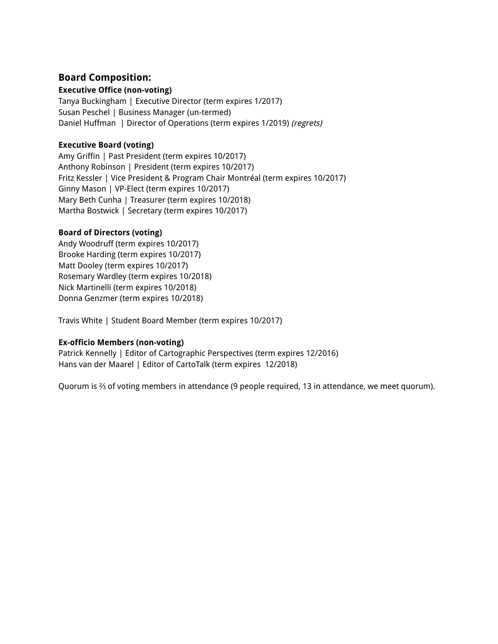## **Board Composition:**

#### **Executive Office (non-voting)**

Tanya Buckingham | Executive Director (term expires 1/2017) Susan Peschel | Business Manager (un-termed) Daniel Huffman | Director of Operations (term expires 1/2019) (regrets)

#### **Executive Board (voting)**

Amy Griffin | Past President (term expires 10/2017) Anthony Robinson | President (term expires 10/2017) Fritz Kessler | Vice President & Program Chair Montréal (term expires 10/2017) Ginny Mason | VP-Elect (term expires 10/2017) Mary Beth Cunha | Treasurer (term expires 10/2018) Martha Bostwick | Secretary (term expires 10/2017)

#### **Board of Directors (voting)**

Andy Woodruff (term expires 10/2017) Brooke Harding (term expires 10/2017) Matt Dooley (term expires 10/2017) Rosemary Wardley (term expires 10/2018) Nick Martinelli (term expires 10/2018) Donna Genzmer (term expires 10/2018)

Travis White | Student Board Member (term expires 10/2017)

#### **Ex-officio Members (non-voting)**

Patrick Kennelly | Editor of Cartographic Perspectives (term expires 12/2016) Hans van der Maarel | Editor of CartoTalk (term expires 12/2018)

Quorum is <sup>2</sup>/<sub>3</sub> of voting members in attendance (9 people required, 13 in attendance, we meet quorum).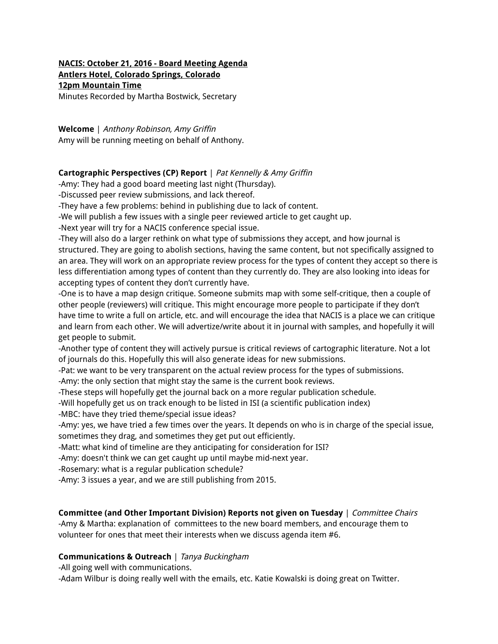### **NACIS: October 21, 2016 - Board Meeting Agenda Antlers Hotel, Colorado Springs, Colorado 12pm Mountain Time**

Minutes Recorded by Martha Bostwick, Secretary

**Welcome** | Anthony Robinson, Amy Griffin Amy will be running meeting on behalf of Anthony.

#### **Cartographic Perspectives (CP) Report** | Pat Kennelly & Amy Griffin

-Amy: They had a good board meeting last night (Thursday).

-Discussed peer review submissions, and lack thereof.

-They have a few problems: behind in publishing due to lack of content.

-We will publish a few issues with a single peer reviewed article to get caught up.

-Next year will try for a NACIS conference special issue.

-They will also do a larger rethink on what type of submissions they accept, and how journal is structured. They are going to abolish sections, having the same content, but not specifically assigned to an area. They will work on an appropriate review process for the types of content they accept so there is less differentiation among types of content than they currently do. They are also looking into ideas for accepting types of content they don't currently have.

-One is to have a map design critique. Someone submits map with some self-critique, then a couple of other people (reviewers) will critique. This might encourage more people to participate if they don't have time to write a full on article, etc. and will encourage the idea that NACIS is a place we can critique and learn from each other. We will advertize/write about it in journal with samples, and hopefully it will get people to submit.

-Another type of content they will actively pursue is critical reviews of cartographic literature. Not a lot of journals do this. Hopefully this will also generate ideas for new submissions.

-Pat: we want to be very transparent on the actual review process for the types of submissions.

-Amy: the only section that might stay the same is the current book reviews.

-These steps will hopefully get the journal back on a more regular publication schedule.

-Will hopefully get us on track enough to be listed in ISI (a scientific publication index)

-MBC: have they tried theme/special issue ideas?

-Amy: yes, we have tried a few times over the years. It depends on who is in charge of the special issue, sometimes they drag, and sometimes they get put out efficiently.

-Matt: what kind of timeline are they anticipating for consideration for ISI?

-Amy: doesn't think we can get caught up until maybe mid-next year.

-Rosemary: what is a regular publication schedule?

-Amy: 3 issues a year, and we are still publishing from 2015.

#### **Committee (and Other Important Division) Reports not given on Tuesday** | Committee Chairs

-Amy & Martha: explanation of committees to the new board members, and encourage them to volunteer for ones that meet their interests when we discuss agenda item #6.

#### **Communications & Outreach** | Tanya Buckingham

-All going well with communications.

-Adam Wilbur is doing really well with the emails, etc. Katie Kowalski is doing great on Twitter.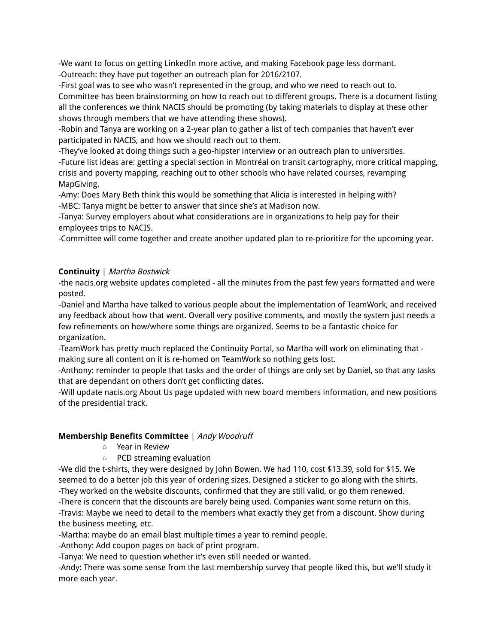-We want to focus on getting LinkedIn more active, and making Facebook page less dormant. -Outreach: they have put together an outreach plan for 2016/2107.

-First goal was to see who wasn't represented in the group, and who we need to reach out to. Committee has been brainstorming on how to reach out to different groups. There is a document listing all the conferences we think NACIS should be promoting (by taking materials to display at these other shows through members that we have attending these shows).

-Robin and Tanya are working on a 2-year plan to gather a list of tech companies that haven't ever participated in NACIS, and how we should reach out to them.

-They've looked at doing things such a geo-hipster interview or an outreach plan to universities. -Future list ideas are: getting a special section in Montréal on transit cartography, more critical mapping, crisis and poverty mapping, reaching out to other schools who have related courses, revamping MapGiving.

-Amy: Does Mary Beth think this would be something that Alicia is interested in helping with? -MBC: Tanya might be better to answer that since she's at Madison now.

-Tanya: Survey employers about what considerations are in organizations to help pay for their employees trips to NACIS.

-Committee will come together and create another updated plan to re-prioritize for the upcoming year.

## **Continuity** | Martha Bostwick

-the nacis.org website updates completed - all the minutes from the past few years formatted and were posted.

-Daniel and Martha have talked to various people about the implementation of TeamWork, and received any feedback about how that went. Overall very positive comments, and mostly the system just needs a few refinements on how/where some things are organized. Seems to be a fantastic choice for organization.

-TeamWork has pretty much replaced the Continuity Portal, so Martha will work on eliminating that making sure all content on it is re-homed on TeamWork so nothing gets lost.

-Anthony: reminder to people that tasks and the order of things are only set by Daniel, so that any tasks that are dependant on others don't get conflicting dates.

-Will update nacis.org About Us page updated with new board members information, and new positions of the presidential track.

## **Membership Benefits Committee** | Andy Woodruff

- Year in Review
- PCD streaming evaluation

-We did the t-shirts, they were designed by John Bowen. We had 110, cost \$13.39, sold for \$15. We seemed to do a better job this year of ordering sizes. Designed a sticker to go along with the shirts. -They worked on the website discounts, confirmed that they are still valid, or go them renewed.

-There is concern that the discounts are barely being used. Companies want some return on this. -Travis: Maybe we need to detail to the members what exactly they get from a discount. Show during the business meeting, etc.

-Martha: maybe do an email blast multiple times a year to remind people.

-Anthony: Add coupon pages on back of print program.

-Tanya: We need to question whether it's even still needed or wanted.

-Andy: There was some sense from the last membership survey that people liked this, but we'll study it more each year.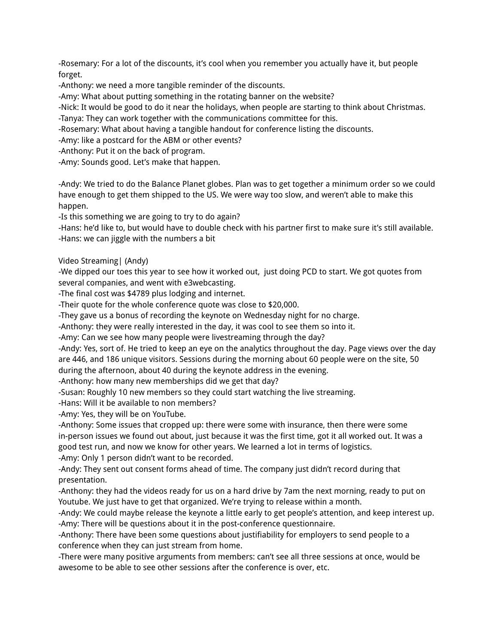-Rosemary: For a lot of the discounts, it's cool when you remember you actually have it, but people forget.

-Anthony: we need a more tangible reminder of the discounts.

-Amy: What about putting something in the rotating banner on the website?

-Nick: It would be good to do it near the holidays, when people are starting to think about Christmas.

-Tanya: They can work together with the communications committee for this.

-Rosemary: What about having a tangible handout for conference listing the discounts.

-Amy: like a postcard for the ABM or other events?

-Anthony: Put it on the back of program.

-Amy: Sounds good. Let's make that happen.

-Andy: We tried to do the Balance Planet globes. Plan was to get together a minimum order so we could have enough to get them shipped to the US. We were way too slow, and weren't able to make this happen.

-Is this something we are going to try to do again?

-Hans: he'd like to, but would have to double check with his partner first to make sure it's still available. -Hans: we can jiggle with the numbers a bit

Video Streaming| (Andy)

-We dipped our toes this year to see how it worked out, just doing PCD to start. We got quotes from several companies, and went with e3webcasting.

-The final cost was \$4789 plus lodging and internet.

-Their quote for the whole conference quote was close to \$20,000.

-They gave us a bonus of recording the keynote on Wednesday night for no charge.

-Anthony: they were really interested in the day, it was cool to see them so into it.

-Amy: Can we see how many people were livestreaming through the day?

-Andy: Yes, sort of. He tried to keep an eye on the analytics throughout the day. Page views over the day are 446, and 186 unique visitors. Sessions during the morning about 60 people were on the site, 50 during the afternoon, about 40 during the keynote address in the evening.

-Anthony: how many new memberships did we get that day?

-Susan: Roughly 10 new members so they could start watching the live streaming.

-Hans: Will it be available to non members?

-Amy: Yes, they will be on YouTube.

-Anthony: Some issues that cropped up: there were some with insurance, then there were some in-person issues we found out about, just because it was the first time, got it all worked out. It was a good test run, and now we know for other years. We learned a lot in terms of logistics.

-Amy: Only 1 person didn't want to be recorded.

-Andy: They sent out consent forms ahead of time. The company just didn't record during that presentation.

-Anthony: they had the videos ready for us on a hard drive by 7am the next morning, ready to put on Youtube. We just have to get that organized. We're trying to release within a month.

-Andy: We could maybe release the keynote a little early to get people's attention, and keep interest up. -Amy: There will be questions about it in the post-conference questionnaire.

-Anthony: There have been some questions about justifiability for employers to send people to a conference when they can just stream from home.

-There were many positive arguments from members: can't see all three sessions at once, would be awesome to be able to see other sessions after the conference is over, etc.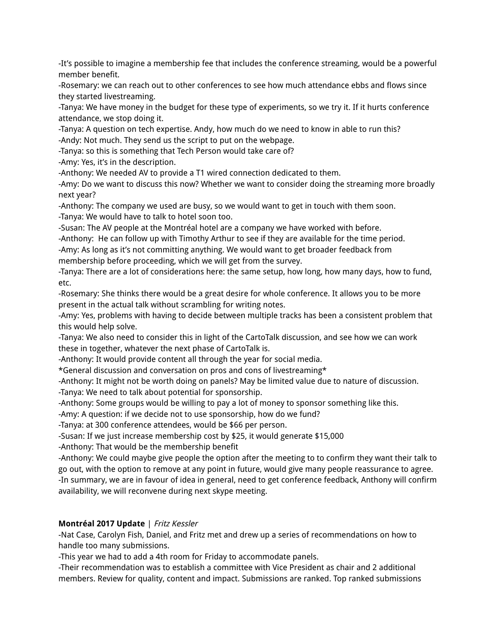-It's possible to imagine a membership fee that includes the conference streaming, would be a powerful member benefit.

-Rosemary: we can reach out to other conferences to see how much attendance ebbs and flows since they started livestreaming.

-Tanya: We have money in the budget for these type of experiments, so we try it. If it hurts conference attendance, we stop doing it.

-Tanya: A question on tech expertise. Andy, how much do we need to know in able to run this? -Andy: Not much. They send us the script to put on the webpage.

-Tanya: so this is something that Tech Person would take care of?

-Amy: Yes, it's in the description.

-Anthony: We needed AV to provide a T1 wired connection dedicated to them.

-Amy: Do we want to discuss this now? Whether we want to consider doing the streaming more broadly next year?

-Anthony: The company we used are busy, so we would want to get in touch with them soon.

-Tanya: We would have to talk to hotel soon too.

-Susan: The AV people at the Montréal hotel are a company we have worked with before.

-Anthony: He can follow up with Timothy Arthur to see if they are available for the time period. -Amy: As long as it's not committing anything. We would want to get broader feedback from membership before proceeding, which we will get from the survey.

-Tanya: There are a lot of considerations here: the same setup, how long, how many days, how to fund, etc.

-Rosemary: She thinks there would be a great desire for whole conference. It allows you to be more present in the actual talk without scrambling for writing notes.

-Amy: Yes, problems with having to decide between multiple tracks has been a consistent problem that this would help solve.

-Tanya: We also need to consider this in light of the CartoTalk discussion, and see how we can work these in together, whatever the next phase of CartoTalk is.

-Anthony: It would provide content all through the year for social media.

\*General discussion and conversation on pros and cons of livestreaming\*

-Anthony: It might not be worth doing on panels? May be limited value due to nature of discussion.

-Tanya: We need to talk about potential for sponsorship.

-Anthony: Some groups would be willing to pay a lot of money to sponsor something like this.

-Amy: A question: if we decide not to use sponsorship, how do we fund?

-Tanya: at 300 conference attendees, would be \$66 per person.

-Susan: If we just increase membership cost by \$25, it would generate \$15,000

-Anthony: That would be the membership benefit

-Anthony: We could maybe give people the option after the meeting to to confirm they want their talk to go out, with the option to remove at any point in future, would give many people reassurance to agree. -In summary, we are in favour of idea in general, need to get conference feedback, Anthony will confirm availability, we will reconvene during next skype meeting.

## **Montréal 2017 Update** | Fritz Kessler

-Nat Case, Carolyn Fish, Daniel, and Fritz met and drew up a series of recommendations on how to handle too many submissions.

-This year we had to add a 4th room for Friday to accommodate panels.

-Their recommendation was to establish a committee with Vice President as chair and 2 additional members. Review for quality, content and impact. Submissions are ranked. Top ranked submissions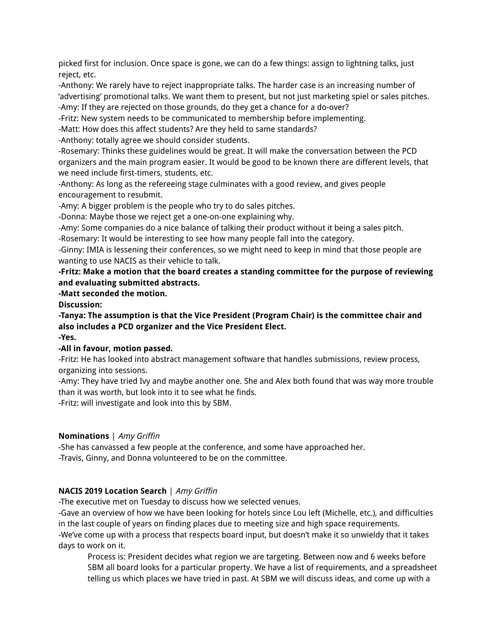picked first for inclusion. Once space is gone, we can do a few things: assign to lightning talks, just reject, etc.

-Anthony: We rarely have to reject inappropriate talks. The harder case is an increasing number of 'advertising' promotional talks. We want them to present, but not just marketing spiel or sales pitches. -Amy: If they are rejected on those grounds, do they get a chance for a do-over?

-Fritz: New system needs to be communicated to membership before implementing.

-Matt: How does this affect students? Are they held to same standards?

-Anthony: totally agree we should consider students.

-Rosemary: Thinks these guidelines would be great. It will make the conversation between the PCD organizers and the main program easier. It would be good to be known there are different levels, that we need include first-timers, students, etc.

-Anthony: As long as the refereeing stage culminates with a good review, and gives people encouragement to resubmit.

-Amy: A bigger problem is the people who try to do sales pitches.

-Donna: Maybe those we reject get a one-on-one explaining why.

-Amy: Some companies do a nice balance of talking their product without it being a sales pitch.

-Rosemary: It would be interesting to see how many people fall into the category.

-Ginny: IMIA is lessening their conferences, so we might need to keep in mind that those people are wanting to use NACIS as their vehicle to talk.

**-Fritz: Make a motion that the board creates a standing committee for the purpose of reviewing and evaluating submitted abstracts.**

**-Matt seconded the motion.**

**Discussion:**

**-Tanya: The assumption is that the Vice President (Program Chair) is the committee chair and also includes a PCD organizer and the Vice President Elect. -Yes.**

## **-All in favour, motion passed.**

-Fritz: He has looked into abstract management software that handles submissions, review process, organizing into sessions.

-Amy: They have tried Ivy and maybe another one. She and Alex both found that was way more trouble than it was worth, but look into it to see what he finds.

-Fritz: will investigate and look into this by SBM.

## **Nominations** | Amy Griffin

-She has canvassed a few people at the conference, and some have approached her. -Travis, Ginny, and Donna volunteered to be on the committee.

## **NACIS 2019 Location Search** | Amy Griffin

-The executive met on Tuesday to discuss how we selected venues.

-Gave an overview of how we have been looking for hotels since Lou left (Michelle, etc.), and difficulties in the last couple of years on finding places due to meeting size and high space requirements. -We've come up with a process that respects board input, but doesn't make it so unwieldy that it takes days to work on it.

Process is: President decides what region we are targeting. Between now and 6 weeks before SBM all board looks for a particular property. We have a list of requirements, and a spreadsheet telling us which places we have tried in past. At SBM we will discuss ideas, and come up with a